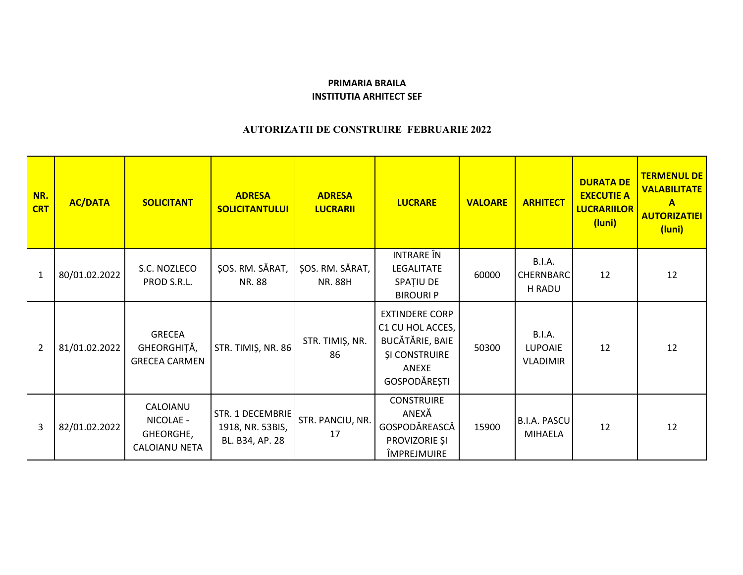## **PRIMARIA BRAILA INSTITUTIA ARHITECT SEF**

## **AUTORIZATII DE CONSTRUIRE FEBRUARIE 2022**

| NR.<br><b>CRT</b> | <b>AC/DATA</b> | <b>SOLICITANT</b>                                    | <b>ADRESA</b><br><b>SOLICITANTULUI</b>                  | <b>ADRESA</b><br><b>LUCRARII</b>  | <b>LUCRARE</b>                                                                                                       | <b>VALOARE</b> | <b>ARHITECT</b>                                    | <b>DURATA DE</b><br><b>EXECUTIE A</b><br><b>LUCRARIILOR</b><br>(luni) | <b>TERMENUL DE</b><br><b>VALABILITATE</b><br>$\mathbf{A}$<br><b>AUTORIZATIEI</b><br>(luni) |
|-------------------|----------------|------------------------------------------------------|---------------------------------------------------------|-----------------------------------|----------------------------------------------------------------------------------------------------------------------|----------------|----------------------------------------------------|-----------------------------------------------------------------------|--------------------------------------------------------------------------------------------|
| $\mathbf{1}$      | 80/01.02.2022  | S.C. NOZLECO<br>PROD S.R.L.                          | ȘOS. RM. SĂRAT,<br>NR. 88                               | ȘOS. RM. SĂRAT,<br><b>NR. 88H</b> | <b>INTRARE</b> ÎN<br>LEGALITATE<br>SPAȚIU DE<br><b>BIROURI P</b>                                                     | 60000          | <b>B.I.A.</b><br><b>CHERNBARC</b><br>H RADU        | 12                                                                    | 12                                                                                         |
| $\overline{2}$    | 81/01.02.2022  | <b>GRECEA</b><br>GHEORGHIȚĂ,<br><b>GRECEA CARMEN</b> | STR. TIMIȘ, NR. 86                                      | STR. TIMIȘ, NR.<br>86             | <b>EXTINDERE CORP</b><br>C1 CU HOL ACCES,<br><b>BUCĂTĂRIE, BAIE</b><br><b>ȘI CONSTRUIRE</b><br>ANEXE<br>GOSPODĂREȘTI | 50300          | <b>B.I.A.</b><br><b>LUPOAIE</b><br><b>VLADIMIR</b> | 12                                                                    | 12                                                                                         |
| 3                 | 82/01.02.2022  | CALOIANU<br>NICOLAE -<br>GHEORGHE,<br>CALOIANU NETA  | STR. 1 DECEMBRIE<br>1918, NR. 53BIS,<br>BL. B34, AP. 28 | STR. PANCIU, NR.<br>17            | <b>CONSTRUIRE</b><br>ANEXĂ<br>GOSPODĂREASCĂ<br>PROVIZORIE ȘI<br>ÎMPREJMUIRE                                          | 15900          | <b>B.I.A. PASCU</b><br><b>MIHAELA</b>              | 12                                                                    | 12                                                                                         |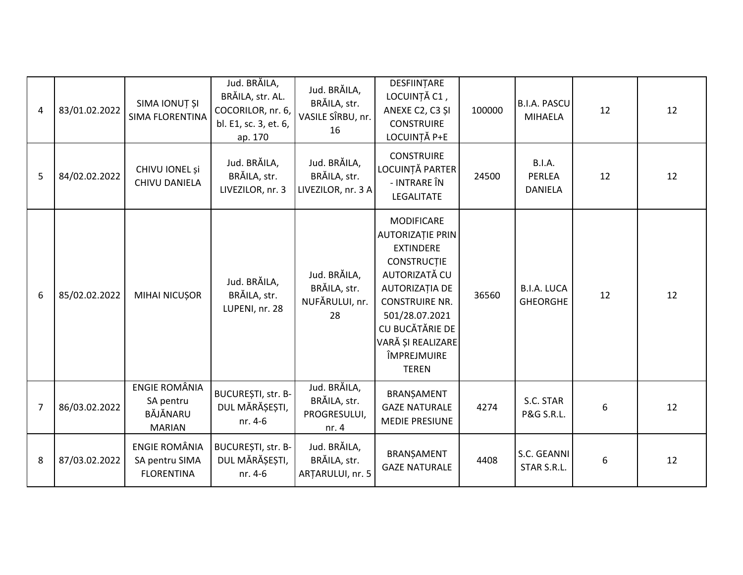| $\overline{4}$ | 83/01.02.2022 | SIMA IONUȚ ȘI<br><b>SIMA FLORENTINA</b>                        | Jud. BRĂILA,<br>BRĂILA, str. AL.<br>COCORILOR, nr. 6,<br>bl. E1, sc. 3, et. 6,<br>ap. 170 | Jud. BRĂILA,<br>BRĂILA, str.<br>VASILE SÎRBU, nr.<br>16 | DESFIINTARE<br>LOCUINȚĂ C1,<br>ANEXE C2, C3 ȘI<br><b>CONSTRUIRE</b><br>LOCUINȚĂ P+E                                                                                                                                                                | 100000 | <b>B.I.A. PASCU</b><br><b>MIHAELA</b>            | 12 | 12 |
|----------------|---------------|----------------------------------------------------------------|-------------------------------------------------------------------------------------------|---------------------------------------------------------|----------------------------------------------------------------------------------------------------------------------------------------------------------------------------------------------------------------------------------------------------|--------|--------------------------------------------------|----|----|
| 5              | 84/02.02.2022 | CHIVU IONEL și<br>CHIVU DANIELA                                | Jud. BRĂILA,<br>BRĂILA, str.<br>LIVEZILOR, nr. 3                                          | Jud. BRĂILA,<br>BRĂILA, str.<br>LIVEZILOR, nr. 3 A      | <b>CONSTRUIRE</b><br>LOCUINȚĂ PARTER<br>- INTRARE ÎN<br>LEGALITATE                                                                                                                                                                                 | 24500  | <b>B.I.A.</b><br><b>PERLEA</b><br><b>DANIELA</b> | 12 | 12 |
| 6              | 85/02.02.2022 | MIHAI NICUȘOR                                                  | Jud. BRĂILA,<br>BRĂILA, str.<br>LUPENI, nr. 28                                            | Jud. BRĂILA,<br>BRĂILA, str.<br>NUFĂRULUI, nr.<br>28    | <b>MODIFICARE</b><br><b>AUTORIZAȚIE PRIN</b><br><b>EXTINDERE</b><br><b>CONSTRUCTIE</b><br>AUTORIZATĂ CU<br><b>AUTORIZAȚIA DE</b><br><b>CONSTRUIRE NR.</b><br>501/28.07.2021<br>CU BUCĂTĂRIE DE<br>VARĂ ȘI REALIZARE<br>ÎMPREJMUIRE<br><b>TEREN</b> | 36560  | <b>B.I.A. LUCA</b><br><b>GHEORGHE</b>            | 12 | 12 |
| 7              | 86/03.02.2022 | <b>ENGIE ROMÂNIA</b><br>SA pentru<br>BĂJĂNARU<br><b>MARIAN</b> | BUCUREȘTI, str. B-<br>DUL MĂRĂȘEȘTI,<br>nr. 4-6                                           | Jud. BRĂILA,<br>BRĂILA, str.<br>PROGRESULUI,<br>nr. $4$ | BRANŞAMENT<br><b>GAZE NATURALE</b><br><b>MEDIE PRESIUNE</b>                                                                                                                                                                                        | 4274   | S.C. STAR<br><b>P&amp;G S.R.L.</b>               | 6  | 12 |
| 8              | 87/03.02.2022 | <b>ENGIE ROMÂNIA</b><br>SA pentru SIMA<br><b>FLORENTINA</b>    | BUCUREȘTI, str. B-<br>DUL MĂRĂȘEȘTI,<br>nr. 4-6                                           | Jud. BRĂILA,<br>BRĂILA, str.<br>ARȚARULUI, nr. 5        | BRANȘAMENT<br><b>GAZE NATURALE</b>                                                                                                                                                                                                                 | 4408   | S.C. GEANNI<br>STAR S.R.L.                       | 6  | 12 |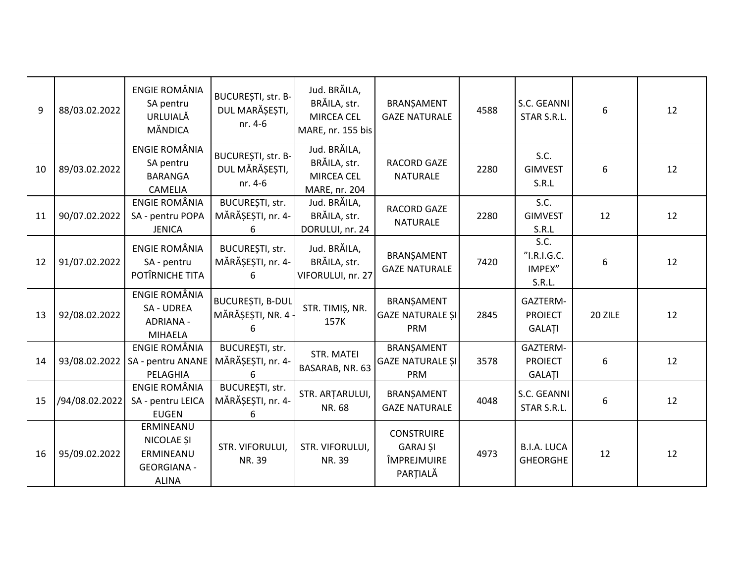| 9  | 88/03.02.2022  | <b>ENGIE ROMÂNIA</b><br>SA pentru<br>URLUIALĂ<br><b>MÄNDICA</b>                   | BUCUREȘTI, str. B-<br>DUL MARĂȘEȘTI,<br>nr. 4-6    | Jud. BRĂILA,<br>BRĂILA, str.<br>MIRCEA CEL<br>MARE, nr. 155 bis | BRANŞAMENT<br><b>GAZE NATURALE</b>                              | 4588 | S.C. GEANNI<br>STAR S.R.L.              | 6       | 12 |
|----|----------------|-----------------------------------------------------------------------------------|----------------------------------------------------|-----------------------------------------------------------------|-----------------------------------------------------------------|------|-----------------------------------------|---------|----|
| 10 | 89/03.02.2022  | <b>ENGIE ROMÂNIA</b><br>SA pentru<br><b>BARANGA</b><br><b>CAMELIA</b>             | BUCUREȘTI, str. B-<br>DUL MĂRĂȘEȘTI,<br>nr. 4-6    | Jud. BRĂILA,<br>BRĂILA, str.<br>MIRCEA CEL<br>MARE, nr. 204     | RACORD GAZE<br><b>NATURALE</b>                                  | 2280 | S.C.<br><b>GIMVEST</b><br>S.R.L         | 6       | 12 |
| 11 | 90/07.02.2022  | ENGIE ROMÂNIA<br>SA - pentru POPA<br><b>JENICA</b>                                | <b>BUCURESTI, str.</b><br>MĂRĂȘEȘTI, nr. 4-<br>6   | Jud. BRĂILA,<br>BRĂILA, str.<br>DORULUI, nr. 24                 | <b>RACORD GAZE</b><br><b>NATURALE</b>                           | 2280 | S.C.<br><b>GIMVEST</b><br>S.R.L         | 12      | 12 |
| 12 | 91/07.02.2022  | <b>ENGIE ROMÂNIA</b><br>SA - pentru<br>POTÎRNICHE TITA                            | BUCUREȘTI, str.<br>MĂRĂȘEȘTI, nr. 4-<br>6          | Jud. BRĂILA,<br>BRĂILA, str.<br>VIFORULUI, nr. 27               | BRANȘAMENT<br><b>GAZE NATURALE</b>                              | 7420 | S.C.<br>"I.R.I.G.C.<br>IMPEX"<br>S.R.L. | 6       | 12 |
| 13 | 92/08.02.2022  | <b>ENGIE ROMÂNIA</b><br>SA - UDREA<br><b>ADRIANA -</b><br><b>MIHAELA</b>          | <b>BUCUREȘTI, B-DUL</b><br>MĂRĂȘEȘTI, NR. 4 -<br>6 | STR. TIMIȘ, NR.<br>157K                                         | BRANŞAMENT<br><b>GAZE NATURALE SI</b><br><b>PRM</b>             | 2845 | GAZTERM-<br><b>PROIECT</b><br>GALAȚI    | 20 ZILE | 12 |
| 14 |                | ENGIE ROMÂNIA<br>93/08.02.2022   SA - pentru ANANE<br>PELAGHIA                    | BUCUREȘTI, str.<br>MĂRĂȘEȘTI, nr. 4-<br>ѧ          | STR. MATEI<br>BASARAB, NR. 63                                   | BRANȘAMENT<br><b>GAZE NATURALE ȘI</b><br><b>PRM</b>             | 3578 | GAZTERM-<br><b>PROIECT</b><br>GALAȚI    | 6       | 12 |
| 15 | /94/08.02.2022 | <b>ENGIE ROMÂNIA</b><br>SA - pentru LEICA<br><b>EUGEN</b>                         | BUCUREȘTI, str.<br>MĂRĂȘEȘTI, nr. 4-<br>6          | STR. ARTARULUI,<br>NR. 68                                       | BRANŞAMENT<br><b>GAZE NATURALE</b>                              | 4048 | S.C. GEANNI<br>STAR S.R.L.              | 6       | 12 |
| 16 | 95/09.02.2022  | ERMINEANU<br><b>NICOLAE SI</b><br>ERMINEANU<br><b>GEORGIANA -</b><br><b>ALINA</b> | STR. VIFORULUI,<br>NR. 39                          | STR. VIFORULUI,<br>NR. 39                                       | <b>CONSTRUIRE</b><br><b>GARAJ ȘI</b><br>ÎMPREJMUIRE<br>PARȚIALĂ | 4973 | <b>B.I.A. LUCA</b><br><b>GHEORGHE</b>   | 12      | 12 |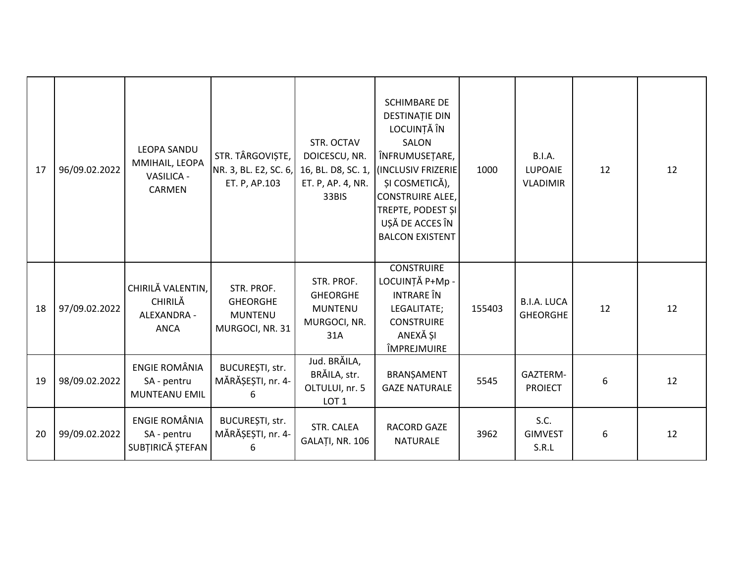| 17 | 96/09.02.2022 | <b>LEOPA SANDU</b><br>MMIHAIL, LEOPA<br>VASILICA -<br>CARMEN | STR. TÂRGOVIȘTE,<br>NR. 3, BL. E2, SC. 6,<br>ET. P, AP.103         | STR. OCTAV<br>DOICESCU, NR.<br>16, BL. D8, SC. 1,<br>ET. P, AP. 4, NR.<br>33BIS | <b>SCHIMBARE DE</b><br><b>DESTINAȚIE DIN</b><br>LOCUINȚĂ ÎN<br>SALON<br>ÎNFRUMUSEȚARE,<br>(INCLUSIV FRIZERIE<br>ȘI COSMETICĂ),<br><b>CONSTRUIRE ALEE,</b><br>TREPTE, PODEST ȘI<br>UȘĂ DE ACCES ÎN<br><b>BALCON EXISTENT</b> | 1000   | <b>B.I.A.</b><br><b>LUPOAIE</b><br><b>VLADIMIR</b> | 12 | 12 |
|----|---------------|--------------------------------------------------------------|--------------------------------------------------------------------|---------------------------------------------------------------------------------|-----------------------------------------------------------------------------------------------------------------------------------------------------------------------------------------------------------------------------|--------|----------------------------------------------------|----|----|
| 18 | 97/09.02.2022 | CHIRILĂ VALENTIN,<br>CHIRILĂ<br>ALEXANDRA -<br><b>ANCA</b>   | STR. PROF.<br><b>GHEORGHE</b><br><b>MUNTENU</b><br>MURGOCI, NR. 31 | STR. PROF.<br><b>GHEORGHE</b><br><b>MUNTENU</b><br>MURGOCI, NR.<br>31A          | <b>CONSTRUIRE</b><br>LOCUINȚĂ P+Mp -<br><b>INTRARE</b> ÎN<br>LEGALITATE;<br><b>CONSTRUIRE</b><br>ANEXĂ ȘI<br>ÎMPREJMUIRE                                                                                                    | 155403 | <b>B.I.A. LUCA</b><br><b>GHEORGHE</b>              | 12 | 12 |
| 19 | 98/09.02.2022 | <b>ENGIE ROMÂNIA</b><br>SA - pentru<br>MUNTEANU EMIL         | BUCUREȘTI, str.<br>MĂRĂȘEȘTI, nr. 4-<br>6                          | Jud. BRĂILA,<br>BRĂILA, str.<br>OLTULUI, nr. 5<br>LOT <sub>1</sub>              | BRANŞAMENT<br><b>GAZE NATURALE</b>                                                                                                                                                                                          | 5545   | GAZTERM-<br><b>PROIECT</b>                         | 6  | 12 |
| 20 | 99/09.02.2022 | <b>ENGIE ROMÂNIA</b><br>SA - pentru<br>SUBȚIRICĂ ȘTEFAN      | BUCUREȘTI, str.<br>MĂRĂȘEȘTI, nr. 4-<br>6                          | STR. CALEA<br>GALAȚI, NR. 106                                                   | <b>RACORD GAZE</b><br><b>NATURALE</b>                                                                                                                                                                                       | 3962   | S.C.<br><b>GIMVEST</b><br>S.R.L                    | 6  | 12 |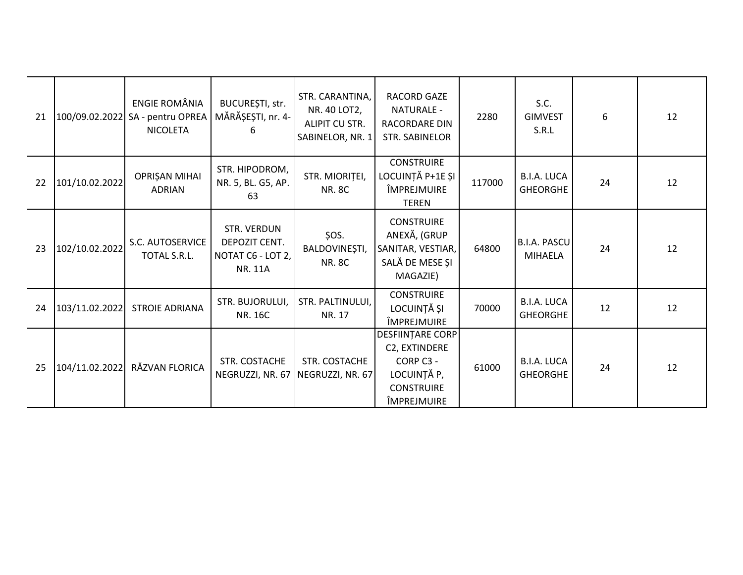| 21 |                | ENGIE ROMÂNIA<br>100/09.02.2022 SA - pentru OPREA<br><b>NICOLETA</b> | BUCUREȘTI, str.<br>MĂRĂȘEȘTI, nr. 4-<br>6                           | STR. CARANTINA,<br>NR. 40 LOT2,<br>ALIPIT CU STR.<br>SABINELOR, NR. 1 | RACORD GAZE<br><b>NATURALE -</b><br>RACORDARE DIN<br><b>STR. SABINELOR</b>                               | 2280   | S.C.<br><b>GIMVEST</b><br>S.R.L       | 6  | 12 |
|----|----------------|----------------------------------------------------------------------|---------------------------------------------------------------------|-----------------------------------------------------------------------|----------------------------------------------------------------------------------------------------------|--------|---------------------------------------|----|----|
| 22 | 101/10.02.2022 | OPRIȘAN MIHAI<br><b>ADRIAN</b>                                       | STR. HIPODROM,<br>NR. 5, BL. G5, AP.<br>63                          | STR. MIORITEI,<br><b>NR. 8C</b>                                       | <b>CONSTRUIRE</b><br>LOCUINȚĂ P+1E ȘI<br>ÎMPREJMUIRE<br><b>TEREN</b>                                     | 117000 | <b>B.I.A. LUCA</b><br><b>GHEORGHE</b> | 24 | 12 |
| 23 | 102/10.02.2022 | S.C. AUTOSERVICE<br>TOTAL S.R.L.                                     | STR. VERDUN<br>DEPOZIT CENT.<br>NOTAT C6 - LOT 2,<br><b>NR. 11A</b> | ŞOS.<br>BALDOVINEȘTI,<br><b>NR. 8C</b>                                | <b>CONSTRUIRE</b><br>ANEXĂ, (GRUP<br>SANITAR, VESTIAR,<br>SALĂ DE MESE ȘI<br>MAGAZIE)                    | 64800  | <b>B.I.A. PASCU</b><br><b>MIHAELA</b> | 24 | 12 |
| 24 | 103/11.02.2022 | <b>STROIE ADRIANA</b>                                                | STR. BUJORULUI,<br><b>NR. 16C</b>                                   | STR. PALTINULUI,<br>NR. 17                                            | <b>CONSTRUIRE</b><br>LOCUINȚĂ ȘI<br>ÎMPREJMUIRE                                                          | 70000  | <b>B.I.A. LUCA</b><br><b>GHEORGHE</b> | 12 | 12 |
| 25 | 104/11.02.2022 | RĂZVAN FLORICA                                                       | STR. COSTACHE<br>NEGRUZZI, NR. 67                                   | STR. COSTACHE<br>NEGRUZZI, NR. 67                                     | <b>DESFIINTARE CORP</b><br>C2, EXTINDERE<br>CORP C3 -<br>LOCUINȚĂ P,<br><b>CONSTRUIRE</b><br>ÎMPREJMUIRE | 61000  | <b>B.I.A. LUCA</b><br><b>GHEORGHE</b> | 24 | 12 |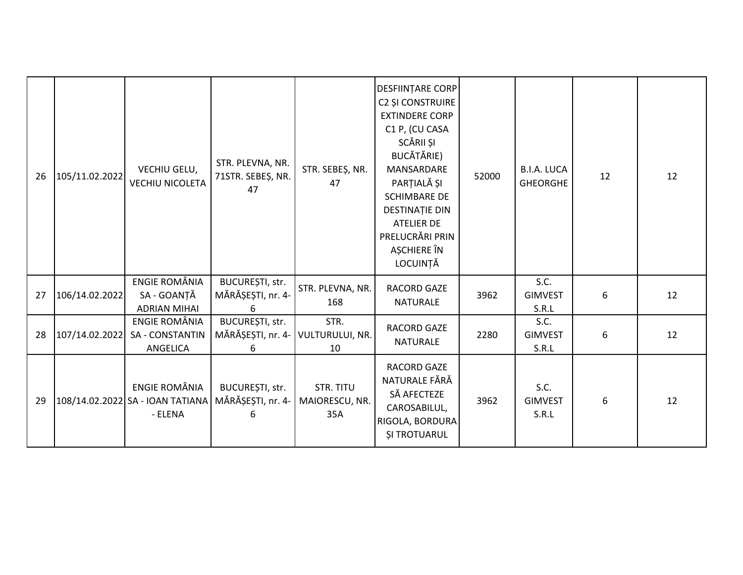| 26 | 105/11.02.2022 | VECHIU GELU,<br><b>VECHIU NICOLETA</b>                       | STR. PLEVNA, NR.<br>71STR. SEBEȘ, NR.<br>47               | STR. SEBEŞ, NR.<br>47                     | <b>DESFIINTARE CORP</b><br><b>C2 ȘI CONSTRUIRE</b><br><b>EXTINDERE CORP</b><br>C1 P, (CU CASA<br>SCĂRII ȘI<br>BUCĂTĂRIE)<br>MANSARDARE<br>PARȚIALĂ ȘI<br><b>SCHIMBARE DE</b><br><b>DESTINATIE DIN</b><br><b>ATELIER DE</b><br>PRELUCRĂRI PRIN<br>AȘCHIERE ÎN<br>LOCUINȚĂ | 52000 | <b>B.I.A. LUCA</b><br><b>GHEORGHE</b> | 12 | 12 |
|----|----------------|--------------------------------------------------------------|-----------------------------------------------------------|-------------------------------------------|--------------------------------------------------------------------------------------------------------------------------------------------------------------------------------------------------------------------------------------------------------------------------|-------|---------------------------------------|----|----|
| 27 | 106/14.02.2022 | ENGIE ROMÂNIA<br>SA - GOANȚĂ<br><b>ADRIAN MIHAI</b>          | BUCUREȘTI, str.<br>MĂRĂȘEȘTI, nr. 4-                      | STR. PLEVNA, NR.<br>168                   | RACORD GAZE<br><b>NATURALE</b>                                                                                                                                                                                                                                           | 3962  | S.C.<br><b>GIMVEST</b><br>S.R.L       | 6  | 12 |
| 28 | 107/14.02.2022 | ENGIE ROMÂNIA<br><b>SA - CONSTANTIN</b><br>ANGELICA          | BUCUREȘTI, str.<br>MĂRĂȘEȘTI, nr. 4- VULTURULUI, NR.<br>6 | STR.<br>10                                | <b>RACORD GAZE</b><br><b>NATURALE</b>                                                                                                                                                                                                                                    | 2280  | S.C.<br><b>GIMVEST</b><br>S.R.L       | 6  | 12 |
| 29 |                | ENGIE ROMÂNIA<br>108/14.02.2022 SA - IOAN TATIANA<br>- ELENA | BUCUREȘTI, str.<br>MĂRĂȘEȘTI, nr. 4-<br>6                 | <b>STR. TITU</b><br>MAIORESCU, NR.<br>35A | RACORD GAZE<br>NATURALE FĂRĂ<br>SĂ AFECTEZE<br>CAROSABILUL,<br>RIGOLA, BORDURA<br><b>ȘI TROTUARUL</b>                                                                                                                                                                    | 3962  | S.C.<br><b>GIMVEST</b><br>S.R.L       | 6  | 12 |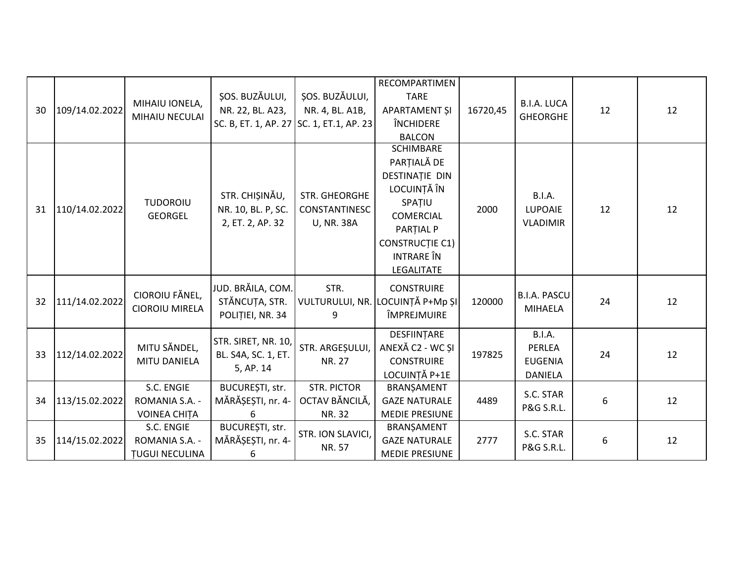|    |                |                                   |                                          |                      | RECOMPARTIMEN                       |          |                     |    |    |
|----|----------------|-----------------------------------|------------------------------------------|----------------------|-------------------------------------|----------|---------------------|----|----|
|    |                | MIHAIU IONELA,                    | ȘOS. BUZĂULUI,                           | SOS. BUZĂULUI,       | <b>TARE</b>                         |          | <b>B.I.A. LUCA</b>  |    |    |
| 30 | 109/14.02.2022 |                                   | NR. 22, BL. A23,                         | NR. 4, BL. A1B,      | APARTAMENT ȘI                       | 16720,45 | <b>GHEORGHE</b>     | 12 | 12 |
|    |                | MIHAIU NECULAI                    | SC. B, ET. 1, AP. 27 SC. 1, ET.1, AP. 23 |                      | <b>ÎNCHIDERE</b>                    |          |                     |    |    |
|    |                |                                   |                                          |                      | <b>BALCON</b>                       |          |                     |    |    |
|    |                |                                   |                                          |                      | <b>SCHIMBARE</b>                    |          |                     |    |    |
|    |                |                                   |                                          |                      | PARȚIALĂ DE                         |          |                     |    |    |
|    |                |                                   |                                          |                      | <b>DESTINAȚIE DIN</b>               |          |                     |    |    |
|    |                |                                   | STR. CHIȘINĂU,                           | <b>STR. GHEORGHE</b> | LOCUINȚĂ ÎN                         |          | <b>B.I.A.</b>       |    |    |
| 31 | 110/14.02.2022 | <b>TUDOROIU</b>                   | NR. 10, BL. P, SC.                       | CONSTANTINESC        | SPAȚIU                              | 2000     | LUPOAIE             | 12 | 12 |
|    |                | <b>GEORGEL</b>                    | 2, ET. 2, AP. 32                         | <b>U, NR. 38A</b>    | COMERCIAL                           |          | <b>VLADIMIR</b>     |    |    |
|    |                |                                   |                                          |                      | <b>PARTIAL P</b>                    |          |                     |    |    |
|    |                |                                   |                                          |                      | <b>CONSTRUCTIE C1)</b>              |          |                     |    |    |
|    |                |                                   |                                          |                      | <b>INTRARE</b> ÎN                   |          |                     |    |    |
|    |                |                                   |                                          |                      | LEGALITATE                          |          |                     |    |    |
|    |                |                                   | JUD. BRĂILA, COM.                        | STR.                 | <b>CONSTRUIRE</b>                   |          |                     |    |    |
| 32 | 111/14.02.2022 | CIOROIU FĂNEL,                    | STĂNCUȚA, STR.                           |                      | VULTURULUI, NR. LOCUINȚĂ P+Mp ȘI    | 120000   | <b>B.I.A. PASCU</b> | 24 | 12 |
|    |                | <b>CIOROIU MIRELA</b>             | POLITIEI, NR. 34                         | 9                    | ÎMPREJMUIRE                         |          | <b>MIHAELA</b>      |    |    |
|    |                |                                   |                                          |                      |                                     |          |                     |    |    |
|    |                |                                   | STR. SIRET, NR. 10,                      |                      | DESFIINTARE                         |          | <b>B.I.A.</b>       |    |    |
| 33 | 112/14.02.2022 | MITU SĂNDEL,                      | BL. S4A, SC. 1, ET.                      | STR. ARGEȘULUI,      | ANEXĂ C2 - WC ȘI                    | 197825   | PERLEA              | 24 | 12 |
|    |                | MITU DANIELA                      | 5, AP. 14                                | <b>NR. 27</b>        | <b>CONSTRUIRE</b>                   |          | <b>EUGENIA</b>      |    |    |
|    |                | S.C. ENGIE                        | BUCUREȘTI, str.                          | <b>STR. PICTOR</b>   | LOCUINȚĂ P+1E                       |          | <b>DANIELA</b>      |    |    |
| 34 | 113/15.02.2022 | ROMANIA S.A. -                    | MĂRĂȘEȘTI, nr. 4-                        | OCTAV BĂNCILĂ,       | BRANȘAMENT<br><b>GAZE NATURALE</b>  | 4489     | S.C. STAR           | 6  | 12 |
|    |                |                                   |                                          |                      |                                     |          | P&G S.R.L.          |    |    |
|    |                | <b>VOINEA CHITA</b><br>S.C. ENGIE | 6<br>BUCUREȘTI, str.                     | NR. 32               | <b>MEDIE PRESIUNE</b><br>BRANȘAMENT |          |                     |    |    |
| 35 | 114/15.02.2022 | ROMANIA S.A. -                    | MĂRĂȘEȘTI, nr. 4-                        | STR. ION SLAVICI,    | <b>GAZE NATURALE</b>                | 2777     | S.C. STAR           | 6  | 12 |
|    |                |                                   |                                          | NR. 57               |                                     |          | P&G S.R.L.          |    |    |
|    |                | <b>TUGUI NECULINA</b>             | 6                                        |                      | <b>MEDIE PRESIUNE</b>               |          |                     |    |    |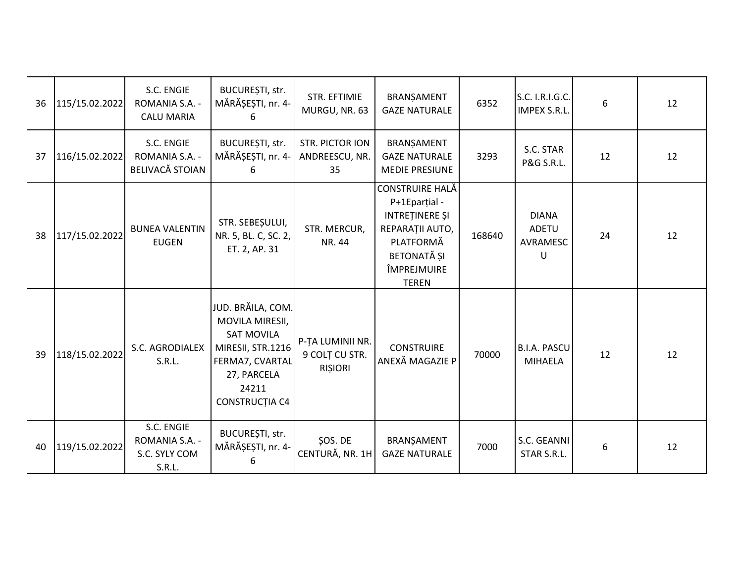| 36 | 115/15.02.2022 | S.C. ENGIE<br>ROMANIA S.A. -<br><b>CALU MARIA</b>       | BUCUREȘTI, str.<br>MĂRĂȘEȘTI, nr. 4-<br>6                                                                                                          | STR. EFTIMIE<br>MURGU, NR. 63                        | BRANŞAMENT<br><b>GAZE NATURALE</b>                                                                                                      | 6352   | S.C. I.R.I.G.C.<br><b>IMPEX S.R.L</b>  | 6  | 12 |
|----|----------------|---------------------------------------------------------|----------------------------------------------------------------------------------------------------------------------------------------------------|------------------------------------------------------|-----------------------------------------------------------------------------------------------------------------------------------------|--------|----------------------------------------|----|----|
| 37 | 116/15.02.2022 | S.C. ENGIE<br>ROMANIA S.A. -<br><b>BELIVACĂ STOIAN</b>  | BUCUREȘTI, str.<br>MĂRĂȘEȘTI, nr. 4-<br>6                                                                                                          | <b>STR. PICTOR ION</b><br>ANDREESCU, NR.<br>35       | BRANȘAMENT<br><b>GAZE NATURALE</b><br><b>MEDIE PRESIUNE</b>                                                                             | 3293   | S.C. STAR<br>P&G S.R.L.                | 12 | 12 |
| 38 | 117/15.02.2022 | <b>BUNEA VALENTIN</b><br><b>EUGEN</b>                   | STR. SEBEȘULUI,<br>NR. 5, BL. C, SC. 2,<br>ET. 2, AP. 31                                                                                           | STR. MERCUR,<br>NR. 44                               | CONSTRUIRE HALĂ<br>P+1Eparțial -<br><b>INTRETINERE SI</b><br>REPARAȚII AUTO,<br>PLATFORMĂ<br>BETONATĂ ȘI<br>ÎMPREJMUIRE<br><b>TEREN</b> | 168640 | <b>DIANA</b><br>ADETU<br>AVRAMESC<br>U | 24 | 12 |
| 39 | 118/15.02.2022 | S.C. AGRODIALEX<br>S.R.L.                               | JUD. BRĂILA, COM.<br>MOVILA MIRESII,<br><b>SAT MOVILA</b><br>MIRESII, STR.1216<br>FERMA7, CVARTAL<br>27, PARCELA<br>24211<br><b>CONSTRUCTIA C4</b> | P-TA LUMINII NR.<br>9 COLT CU STR.<br><b>RIŞIORI</b> | <b>CONSTRUIRE</b><br>ANEXĂ MAGAZIE P                                                                                                    | 70000  | <b>B.I.A. PASCU</b><br><b>MIHAELA</b>  | 12 | 12 |
| 40 | 119/15.02.2022 | S.C. ENGIE<br>ROMANIA S.A. -<br>S.C. SYLY COM<br>S.R.L. | BUCUREȘTI, str.<br>MĂRĂȘEȘTI, nr. 4-                                                                                                               | ŞOS. DE<br>CENTURĂ, NR. 1H                           | BRANŞAMENT<br><b>GAZE NATURALE</b>                                                                                                      | 7000   | S.C. GEANNI<br>STAR S.R.L.             | 6  | 12 |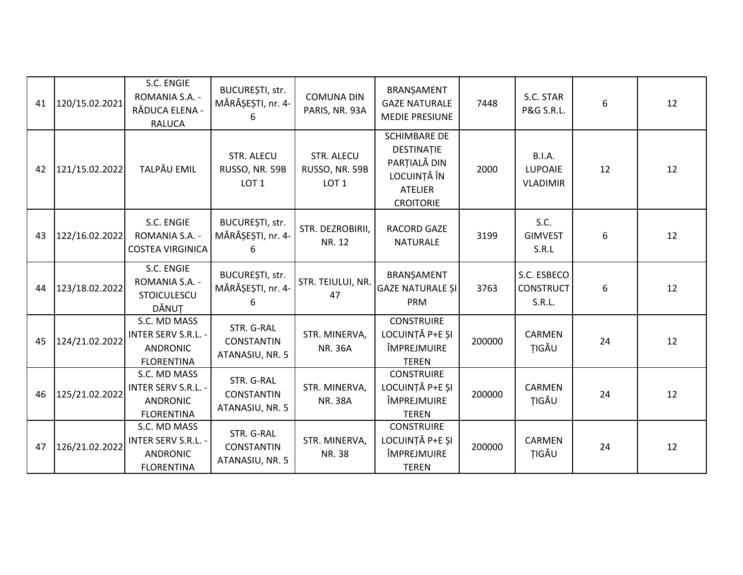| 41 | 120/15.02.2021 | S.C. ENGIE<br>ROMANIA S.A. -<br>RĂDUCA ELENA -<br><b>RALUCA</b>                    | BUCUREȘTI, str.<br>MĂRĂȘEȘTI, nr. 4-                    | <b>COMUNA DIN</b><br>PARIS, NR. 93A              | BRANȘAMENT<br><b>GAZE NATURALE</b><br><b>MEDIE PRESIUNE</b>                                            | 7448   | S.C. STAR<br><b>P&amp;G S.R.L.</b>                 | 6  | 12 |
|----|----------------|------------------------------------------------------------------------------------|---------------------------------------------------------|--------------------------------------------------|--------------------------------------------------------------------------------------------------------|--------|----------------------------------------------------|----|----|
| 42 | 121/15.02.2022 | TALPĂU EMIL                                                                        | <b>STR. ALECU</b><br>RUSSO, NR. 59B<br>LOT <sub>1</sub> | STR. ALECU<br>RUSSO, NR. 59B<br>LOT <sub>1</sub> | <b>SCHIMBARE DE</b><br>DESTINAȚIE<br>PARȚIALĂ DIN<br>LOCUINȚĂ ÎN<br><b>ATELIER</b><br><b>CROITORIE</b> | 2000   | <b>B.I.A.</b><br><b>LUPOAIE</b><br><b>VLADIMIR</b> | 12 | 12 |
| 43 | 122/16.02.2022 | S.C. ENGIE<br>ROMANIA S.A. -<br><b>COSTEA VIRGINICA</b>                            | BUCUREȘTI, str.<br>MĂRĂȘEȘTI, nr. 4-                    | STR. DEZROBIRII,<br>NR. 12                       | <b>RACORD GAZE</b><br><b>NATURALE</b>                                                                  | 3199   | S.C.<br><b>GIMVEST</b><br>S.R.L                    | 6  | 12 |
| 44 | 123/18.02.2022 | S.C. ENGIE<br>ROMANIA S.A. -<br><b>STOICULESCU</b><br>DĂNUT                        | BUCUREȘTI, str.<br>MĂRĂȘEȘTI, nr. 4-                    | STR. TEIULUI, NR.<br>47                          | BRANŞAMENT<br><b>GAZE NATURALE SI</b><br>PRM                                                           | 3763   | S.C. ESBECO<br><b>CONSTRUCT</b><br>S.R.L.          | 6  | 12 |
| 45 | 124/21.02.2022 | S.C. MD MASS<br><b>INTER SERV S.R.L. -</b><br><b>ANDRONIC</b><br><b>FLORENTINA</b> | STR. G-RAL<br><b>CONSTANTIN</b><br>ATANASIU, NR. 5      | STR. MINERVA,<br><b>NR. 36A</b>                  | <b>CONSTRUIRE</b><br>LOCUINTĂ P+E SI<br>ÎMPREJMUIRE<br><b>TEREN</b>                                    | 200000 | CARMEN<br>TIGĂU                                    | 24 | 12 |
| 46 | 125/21.02.2022 | S.C. MD MASS<br><b>INTER SERV S.R.L. -</b><br><b>ANDRONIC</b><br><b>FLORENTINA</b> | STR. G-RAL<br><b>CONSTANTIN</b><br>ATANASIU, NR. 5      | STR. MINERVA,<br><b>NR. 38A</b>                  | <b>CONSTRUIRE</b><br>LOCUINTĂ P+E SI<br>ÎMPREJMUIRE<br><b>TEREN</b>                                    | 200000 | <b>CARMEN</b><br>TIGĂU                             | 24 | 12 |
| 47 | 126/21.02.2022 | S.C. MD MASS<br><b>INTER SERV S.R.L. -</b><br><b>ANDRONIC</b><br><b>FLORENTINA</b> | STR. G-RAL<br><b>CONSTANTIN</b><br>ATANASIU, NR. 5      | STR. MINERVA,<br>NR. 38                          | <b>CONSTRUIRE</b><br>LOCUINȚĂ P+E ȘI<br>ÎMPREJMUIRE<br><b>TEREN</b>                                    | 200000 | <b>CARMEN</b><br>TIGĂU                             | 24 | 12 |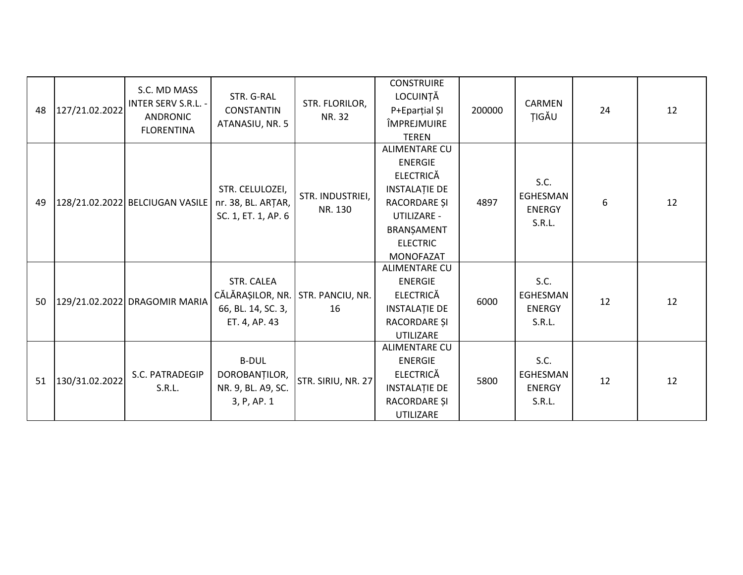| 48 | 127/21.02.2022 | S.C. MD MASS<br>INTER SERV S.R.L. -<br><b>ANDRONIC</b><br><b>FLORENTINA</b> | STR. G-RAL<br><b>CONSTANTIN</b><br>ATANASIU, NR. 5                                     | STR. FLORILOR,<br>NR. 32    | <b>CONSTRUIRE</b><br>LOCUINȚĂ<br>P+Eparțial ȘI<br>ÎMPREJMUIRE<br><b>TEREN</b>                                                                                          | 200000 | CARMEN<br>ŢIGĂU                             | 24 | 12 |
|----|----------------|-----------------------------------------------------------------------------|----------------------------------------------------------------------------------------|-----------------------------|------------------------------------------------------------------------------------------------------------------------------------------------------------------------|--------|---------------------------------------------|----|----|
| 49 |                | 128/21.02.2022 BELCIUGAN VASILE                                             | STR. CELULOZEI,<br>nr. 38, BL. ARȚAR,<br>SC. 1, ET. 1, AP. 6                           | STR. INDUSTRIEI,<br>NR. 130 | <b>ALIMENTARE CU</b><br><b>ENERGIE</b><br><b>ELECTRICĂ</b><br><b>INSTALAȚIE DE</b><br>RACORDARE ȘI<br>UTILIZARE -<br>BRANŞAMENT<br><b>ELECTRIC</b><br><b>MONOFAZAT</b> | 4897   | S.C.<br>EGHESMAN<br><b>ENERGY</b><br>S.R.L. | 6  | 12 |
| 50 |                | 129/21.02.2022 DRAGOMIR MARIA                                               | STR. CALEA<br>CĂLĂRAȘILOR, NR. STR. PANCIU, NR.<br>66, BL. 14, SC. 3,<br>ET. 4, AP. 43 | 16                          | <b>ALIMENTARE CU</b><br><b>ENERGIE</b><br><b>ELECTRICĂ</b><br><b>INSTALAȚIE DE</b><br>RACORDARE ȘI<br><b>UTILIZARE</b>                                                 | 6000   | S.C.<br>EGHESMAN<br><b>ENERGY</b><br>S.R.L. | 12 | 12 |
| 51 | 130/31.02.2022 | S.C. PATRADEGIP<br>S.R.L.                                                   | <b>B-DUL</b><br>DOROBANȚILOR,<br>NR. 9, BL. A9, SC.<br>3, P, AP. 1                     | STR. SIRIU, NR. 27          | ALIMENTARE CU<br><b>ENERGIE</b><br><b>ELECTRICĂ</b><br><b>INSTALAȚIE DE</b><br>RACORDARE ȘI<br><b>UTILIZARE</b>                                                        | 5800   | S.C.<br>EGHESMAN<br><b>ENERGY</b><br>S.R.L. | 12 | 12 |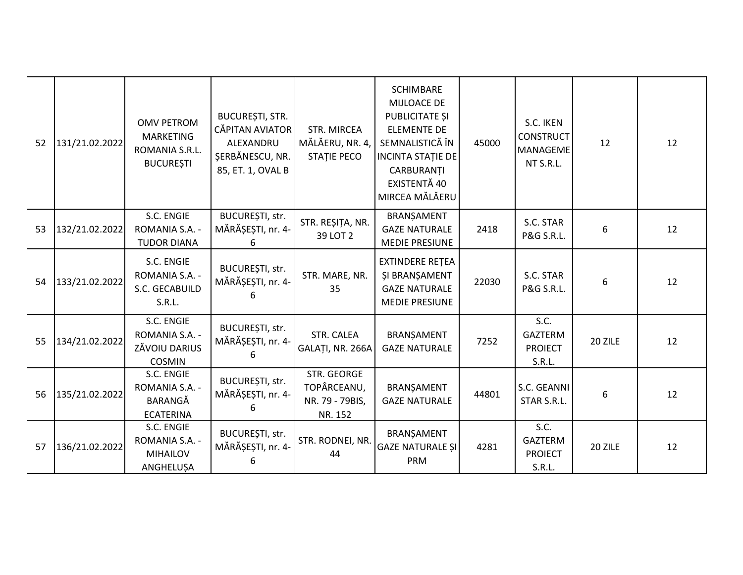| 52 | 131/21.02.2022 | <b>OMV PETROM</b><br><b>MARKETING</b><br>ROMANIA S.R.L.<br><b>BUCURESTI</b> | <b>BUCUREȘTI, STR.</b><br>CĂPITAN AVIATOR<br>ALEXANDRU<br>SERBĂNESCU, NR.<br>85, ET. 1, OVAL B | <b>STR. MIRCEA</b><br>MĂLĂERU, NR. 4,<br><b>STATIE PECO</b> | <b>SCHIMBARE</b><br>MIJLOACE DE<br>PUBLICITATE ȘI<br><b>ELEMENTE DE</b><br>SEMNALISTICĂ ÎN<br><b>INCINTA STATIE DE</b><br>CARBURANȚI<br>EXISTENTĂ 40<br>MIRCEA MĂLĂERU | 45000 | S.C. IKEN<br><b>CONSTRUCT</b><br>MANAGEME<br>NT S.R.L. | 12      | 12 |
|----|----------------|-----------------------------------------------------------------------------|------------------------------------------------------------------------------------------------|-------------------------------------------------------------|------------------------------------------------------------------------------------------------------------------------------------------------------------------------|-------|--------------------------------------------------------|---------|----|
| 53 | 132/21.02.2022 | S.C. ENGIE<br>ROMANIA S.A. -<br><b>TUDOR DIANA</b>                          | BUCUREȘTI, str.<br>MĂRĂȘEȘTI, nr. 4-<br>6                                                      | STR. REȘIȚA, NR.<br>39 LOT 2                                | BRANŞAMENT<br><b>GAZE NATURALE</b><br><b>MEDIE PRESIUNE</b>                                                                                                            | 2418  | S.C. STAR<br>P&G S.R.L.                                | 6       | 12 |
| 54 | 133/21.02.2022 | S.C. ENGIE<br>ROMANIA S.A. -<br>S.C. GECABUILD<br>S.R.L.                    | BUCUREȘTI, str.<br>MĂRĂȘEȘTI, nr. 4-                                                           | STR. MARE, NR.<br>35                                        | <b>EXTINDERE RETEA</b><br><b>ŞI BRANŞAMENT</b><br><b>GAZE NATURALE</b><br><b>MEDIE PRESIUNE</b>                                                                        | 22030 | S.C. STAR<br>P&G S.R.L.                                | 6       | 12 |
| 55 | 134/21.02.2022 | S.C. ENGIE<br>ROMANIA S.A. -<br>ZĂVOIU DARIUS<br><b>COSMIN</b>              | BUCUREȘTI, str.<br>MĂRĂȘEȘTI, nr. 4-                                                           | STR. CALEA<br>GALAȚI, NR. 266A                              | BRANŞAMENT<br><b>GAZE NATURALE</b>                                                                                                                                     | 7252  | S.C.<br><b>GAZTERM</b><br><b>PROIECT</b><br>S.R.L.     | 20 ZILE | 12 |
| 56 | 135/21.02.2022 | S.C. ENGIE<br>ROMANIA S.A. -<br>BARANGĂ<br><b>ECATERINA</b>                 | BUCUREȘTI, str.<br>MĂRĂȘEȘTI, nr. 4-                                                           | STR. GEORGE<br>TOPÂRCEANU,<br>NR. 79 - 79BIS,<br>NR. 152    | BRANŞAMENT<br><b>GAZE NATURALE</b>                                                                                                                                     | 44801 | S.C. GEANNI<br>STAR S.R.L.                             | 6       | 12 |
| 57 | 136/21.02.2022 | S.C. ENGIE<br>ROMANIA S.A. -<br><b>MIHAILOV</b><br>ANGHELUŞA                | BUCUREȘTI, str.<br>MĂRĂȘEȘTI, nr. 4-<br>6                                                      | STR. RODNEI, NR.<br>44                                      | BRANŞAMENT<br><b>GAZE NATURALE ȘI</b><br>PRM                                                                                                                           | 4281  | S.C.<br><b>GAZTERM</b><br><b>PROIECT</b><br>S.R.L.     | 20 ZILE | 12 |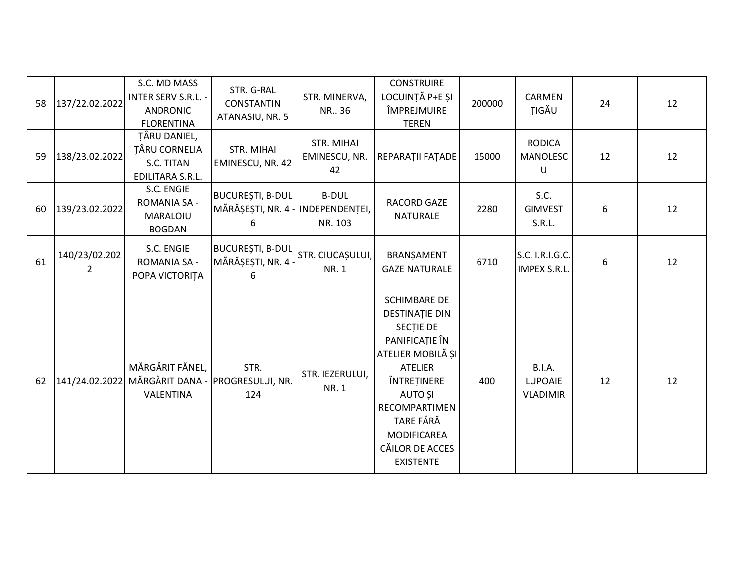| 58 | 137/22.02.2022     | S.C. MD MASS<br><b>INTER SERV S.R.L. -</b><br><b>ANDRONIC</b><br><b>FLORENTINA</b> | STR. G-RAL<br><b>CONSTANTIN</b><br>ATANASIU, NR. 5 | STR. MINERVA,<br>NR., 36                  | <b>CONSTRUIRE</b><br>LOCUINȚĂ P+E ȘI<br>ÎMPREJMUIRE<br><b>TEREN</b>                                                                                                                                                                            | 200000 | CARMEN<br>TIGĂU                             | 24 | 12 |
|----|--------------------|------------------------------------------------------------------------------------|----------------------------------------------------|-------------------------------------------|------------------------------------------------------------------------------------------------------------------------------------------------------------------------------------------------------------------------------------------------|--------|---------------------------------------------|----|----|
| 59 | 138/23.02.2022     | TÂRU DANIEL,<br><b>TÂRU CORNELIA</b><br>S.C. TITAN<br>EDILITARA S.R.L.             | STR. MIHAI<br>EMINESCU, NR. 42                     | STR. MIHAI<br>EMINESCU, NR.<br>42         | REPARAȚII FAȚADE                                                                                                                                                                                                                               | 15000  | <b>RODICA</b><br>MANOLESC<br>U              | 12 | 12 |
| 60 | 139/23.02.2022     | S.C. ENGIE<br><b>ROMANIA SA -</b><br>MARALOIU<br><b>BOGDAN</b>                     | <b>BUCUREȘTI, B-DUL</b><br>MĂRĂȘEȘTI, NR. 4<br>6   | <b>B-DUL</b><br>INDEPENDENTEI,<br>NR. 103 | RACORD GAZE<br><b>NATURALE</b>                                                                                                                                                                                                                 | 2280   | S.C.<br><b>GIMVEST</b><br>S.R.L.            | 6  | 12 |
| 61 | 140/23/02.202<br>2 | S.C. ENGIE<br><b>ROMANIA SA -</b><br>POPA VICTORITA                                | <b>BUCUREȘTI, B-DUL</b><br>MĂRĂȘEȘTI, NR. 4<br>6   | STR. CIUCAȘULUI,<br><b>NR.1</b>           | BRANŞAMENT<br><b>GAZE NATURALE</b>                                                                                                                                                                                                             | 6710   | S.C. I.R.I.G.C.<br><b>IMPEX S.R.L</b>       | 6  | 12 |
| 62 |                    | MĂRGĂRIT FĂNEL,<br>141/24.02.2022 MĂRGĂRIT DANA -<br>VALENTINA                     | STR.<br>PROGRESULUI, NR.<br>124                    | STR. IEZERULUI,<br><b>NR.1</b>            | <b>SCHIMBARE DE</b><br><b>DESTINAȚIE DIN</b><br>SECTIE DE<br>PANIFICAȚIE ÎN<br>ATELIER MOBILĂ ȘI<br><b>ATELIER</b><br>ÎNTREȚINERE<br><b>AUTO ȘI</b><br>RECOMPARTIMEN<br>TARE FĂRĂ<br><b>MODIFICAREA</b><br>CĂILOR DE ACCES<br><b>EXISTENTE</b> | 400    | <b>B.I.A.</b><br>LUPOAIE<br><b>VLADIMIR</b> | 12 | 12 |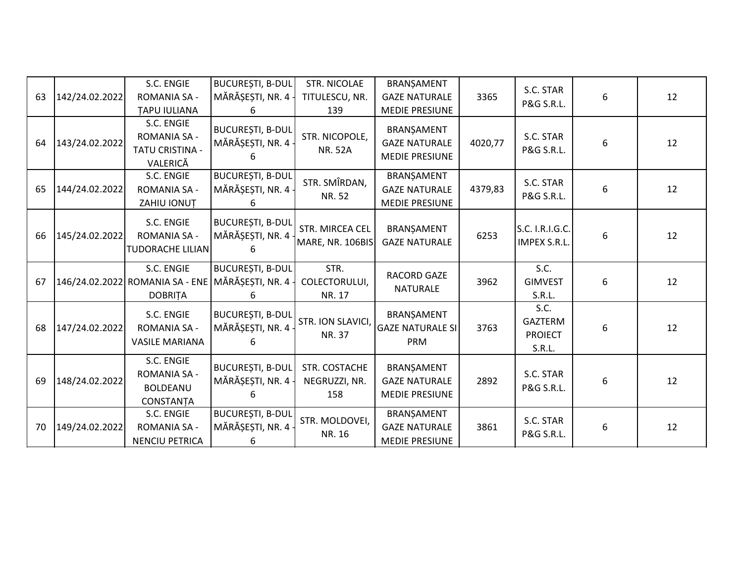| 63 | 142/24.02.2022 | S.C. ENGIE<br><b>ROMANIA SA -</b>                                                              | BUCUREȘTI, B-DUL<br>MĂRĂȘEȘTI, NR. 4 -             | <b>STR. NICOLAE</b><br>TITULESCU, NR.   | BRANȘAMENT<br><b>GAZE NATURALE</b>                                                   | 3365    | S.C. STAR<br>P&G S.R.L.                            | 6 | 12 |
|----|----------------|------------------------------------------------------------------------------------------------|----------------------------------------------------|-----------------------------------------|--------------------------------------------------------------------------------------|---------|----------------------------------------------------|---|----|
| 64 | 143/24.02.2022 | <b>TAPU IULIANA</b><br>S.C. ENGIE<br><b>ROMANIA SA -</b><br><b>TATU CRISTINA -</b><br>VALERICĂ | 6<br><b>BUCUREȘTI, B-DUL</b><br>MĂRĂȘEȘTI, NR. 4 - | 139<br>STR. NICOPOLE,<br><b>NR. 52A</b> | <b>MEDIE PRESIUNE</b><br>BRANȘAMENT<br><b>GAZE NATURALE</b><br><b>MEDIE PRESIUNE</b> | 4020,77 | S.C. STAR<br><b>P&amp;G S.R.L.</b>                 | 6 | 12 |
| 65 | 144/24.02.2022 | S.C. ENGIE<br><b>ROMANIA SA -</b><br>ZAHIU IONUȚ                                               | <b>BUCUREȘTI, B-DUL</b><br>MĂRĂȘEȘTI, NR. 4 -<br>6 | STR. SMÎRDAN,<br>NR. 52                 | BRANȘAMENT<br><b>GAZE NATURALE</b><br><b>MEDIE PRESIUNE</b>                          | 4379,83 | S.C. STAR<br>P&G S.R.L.                            | 6 | 12 |
| 66 | 145/24.02.2022 | S.C. ENGIE<br><b>ROMANIA SA -</b><br><b>TUDORACHE LILIAN</b>                                   | <b>BUCUREȘTI, B-DUL</b><br>MĂRĂȘEȘTI, NR. 4 -      | STR. MIRCEA CEL<br>MARE, NR. 106BIS     | BRANŞAMENT<br><b>GAZE NATURALE</b>                                                   | 6253    | S.C. I.R.I.G.C.<br>IMPEX S.R.L.                    | 6 | 12 |
| 67 |                | S.C. ENGIE<br>146/24.02.2022 ROMANIA SA - ENE<br><b>DOBRITA</b>                                | <b>BUCUREȘTI, B-DUL</b><br>MĂRĂȘEȘTI, NR. 4-<br>6  | STR.<br>COLECTORULUI,<br>NR. 17         | RACORD GAZE<br><b>NATURALE</b>                                                       | 3962    | S.C.<br><b>GIMVEST</b><br>S.R.L.                   | 6 | 12 |
| 68 | 147/24.02.2022 | S.C. ENGIE<br><b>ROMANIA SA -</b><br><b>VASILE MARIANA</b>                                     | <b>BUCUREȘTI, B-DUL</b><br>MĂRĂȘEȘTI, NR. 4 -      | STR. ION SLAVICI,<br>NR. 37             | BRANȘAMENT<br><b>GAZE NATURALE SI</b><br>PRM                                         | 3763    | S.C.<br><b>GAZTERM</b><br><b>PROIECT</b><br>S.R.L. | 6 | 12 |
| 69 | 148/24.02.2022 | S.C. ENGIE<br><b>ROMANIA SA -</b><br><b>BOLDEANU</b><br>CONSTANȚA                              | BUCUREȘTI, B-DUL<br>MĂRĂȘEȘTI, NR. 4-<br>6         | STR. COSTACHE<br>NEGRUZZI, NR.<br>158   | BRANŞAMENT<br><b>GAZE NATURALE</b><br><b>MEDIE PRESIUNE</b>                          | 2892    | S.C. STAR<br>P&G S.R.L.                            | 6 | 12 |
| 70 | 149/24.02.2022 | S.C. ENGIE<br><b>ROMANIA SA -</b><br><b>NENCIU PETRICA</b>                                     | <b>BUCUREȘTI, B-DUL</b><br>MĂRĂȘEȘTI, NR. 4<br>6   | STR. MOLDOVEI,<br>NR. 16                | BRANȘAMENT<br><b>GAZE NATURALE</b><br><b>MEDIE PRESIUNE</b>                          | 3861    | S.C. STAR<br>P&G S.R.L.                            | 6 | 12 |